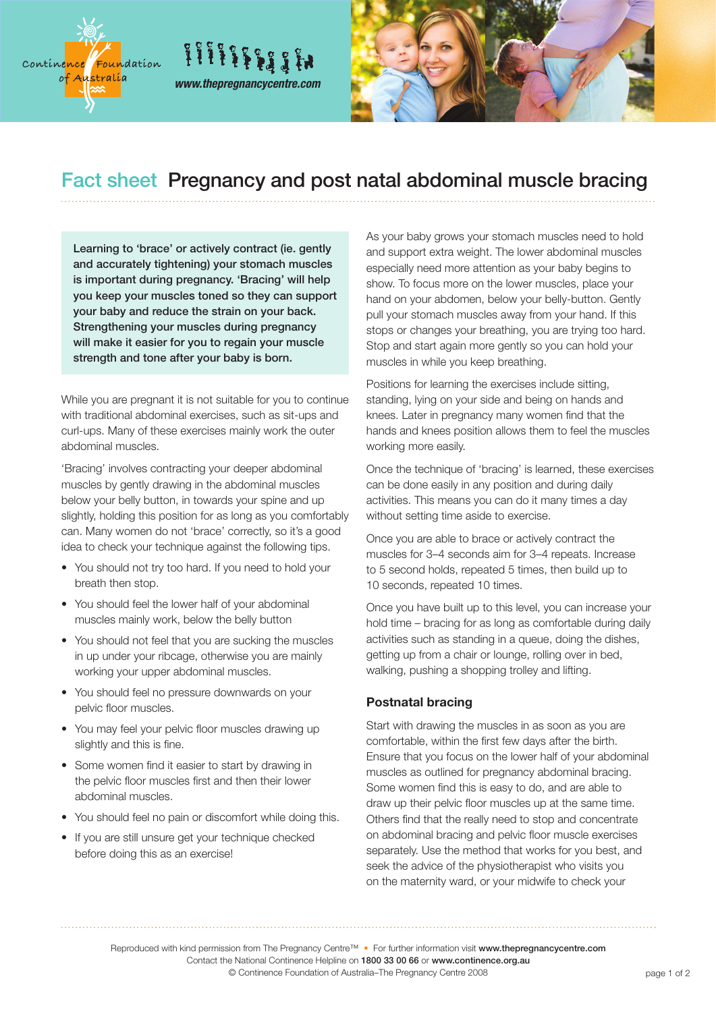



## Fact sheet Pregnancy and post natal abdominal muscle bracing

Learning to 'brace' or actively contract (ie. gently and accurately tightening) your stomach muscles is important during pregnancy. 'Bracing' will help you keep your muscles toned so they can support your baby and reduce the strain on your back. Strengthening your muscles during pregnancy will make it easier for you to regain your muscle strength and tone after your baby is born.

*www.thepregnancycentre.com*

 $\{ \{ \{ \{ \{ \} \} \} \} \}$ 

While you are pregnant it is not suitable for you to continue with traditional abdominal exercises, such as sit-ups and curl-ups. Many of these exercises mainly work the outer abdominal muscles.

'Bracing' involves contracting your deeper abdominal muscles by gently drawing in the abdominal muscles below your belly button, in towards your spine and up slightly, holding this position for as long as you comfortably can. Many women do not 'brace' correctly, so it's a good idea to check your technique against the following tips.

- You should not try too hard. If you need to hold your breath then stop.
- You should feel the lower half of your abdominal muscles mainly work, below the belly button
- You should not feel that you are sucking the muscles in up under your ribcage, otherwise you are mainly working your upper abdominal muscles.
- You should feel no pressure downwards on your pelvic floor muscles.
- You may feel your pelvic floor muscles drawing up slightly and this is fine.
- Some women find it easier to start by drawing in the pelvic floor muscles first and then their lower abdominal muscles.
- You should feel no pain or discomfort while doing this.
- If you are still unsure get your technique checked before doing this as an exercise!

As your baby grows your stomach muscles need to hold and support extra weight. The lower abdominal muscles especially need more attention as your baby begins to show. To focus more on the lower muscles, place your hand on your abdomen, below your belly-button. Gently pull your stomach muscles away from your hand. If this stops or changes your breathing, you are trying too hard. Stop and start again more gently so you can hold your muscles in while you keep breathing.

Positions for learning the exercises include sitting, standing, lying on your side and being on hands and knees. Later in pregnancy many women find that the hands and knees position allows them to feel the muscles working more easily.

Once the technique of 'bracing' is learned, these exercises can be done easily in any position and during daily activities. This means you can do it many times a day without setting time aside to exercise.

Once you are able to brace or actively contract the muscles for 3–4 seconds aim for 3–4 repeats. Increase to 5 second holds, repeated 5 times, then build up to 10 seconds, repeated 10 times.

Once you have built up to this level, you can increase your hold time – bracing for as long as comfortable during daily activities such as standing in a queue, doing the dishes, getting up from a chair or lounge, rolling over in bed, walking, pushing a shopping trolley and lifting.

## **Postnatal bracing**

Start with drawing the muscles in as soon as you are comfortable, within the first few days after the birth. Ensure that you focus on the lower half of your abdominal muscles as outlined for pregnancy abdominal bracing. Some women find this is easy to do, and are able to draw up their pelvic floor muscles up at the same time. Others find that the really need to stop and concentrate on abdominal bracing and pelvic floor muscle exercises separately. Use the method that works for you best, and seek the advice of the physiotherapist who visits you on the maternity ward, or your midwife to check your

Reproduced with kind permission from The Pregnancy Centre™ • For further information visit www.thepregnancycentre.com Contact the National Continence Helpline on 1800 33 00 66 or www.continence.org.au © Continence Foundation of Australia–The Pregnancy Centre 2008 **page 1 of 2** page 1 of 2